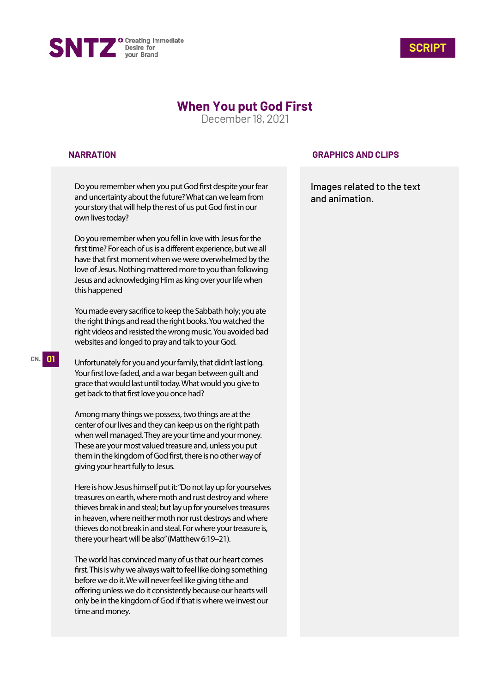



# **When You put God First**

December 18, 2021

### **NARRATION**

Do you remember when you put God first despite your fear and uncertainty about the future? What can we learn from your story that will help the rest of us put God first in our own lives today?

Do you remember when you fell in love with Jesus for the first time? For each of us is a different experience, but we all have that first moment when we were overwhelmed by the love of Jesus. Nothing mattered more to you than following Jesus and acknowledging Him as king over your life when this happened

You made every sacrifice to keep the Sabbath holy; you ate the right things and read the right books. You watched the right videos and resisted the wrong music. You avoided bad websites and longed to pray and talk to your God.

Unfortunately for you and your family, that didn't last long. Your first love faded, and a war began between guilt and grace that would last until today. What would you give to get back to that first love you once had?

Among many things we possess, two things are at the center of our lives and they can keep us on the right path when well managed. They are your time and your money. These are your most valued treasure and, unless you put them in the kingdom of God first, there is no other way of giving your heart fully to Jesus.

Here is how Jesus himself put it: "Do not lay up for yourselves treasures on earth, where moth and rust destroy and where thieves break in and steal; but lay up for yourselves treasures in heaven, where neither moth nor rust destroys and where thieves do not break in and steal. For where your treasure is, there your heart will be also" (Matthew 6:19–21).

The world has convinced many of us that our heart comes first. This is why we always wait to feel like doing something before we do it. We will never feel like giving tithe and offering unless we do it consistently because our hearts will only be in the kingdom of God if that is where we invest our time and money.

### **GRAPHICS AND CLIPS**

Images related to the text and animation.